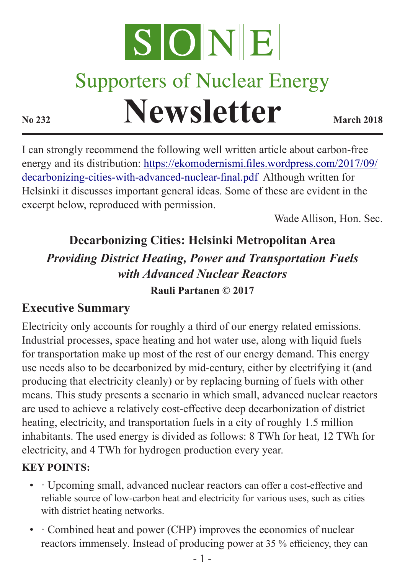

# **Supporters of Nuclear Energy Newsletter March 2018**

I can strongly recommend the following well written article about carbon-free energy and its distribution: [https://ekomodernismi.files.wordpress.com/2017/09/](https://ekomodernismi.files.wordpress.com/2017/09/decarbonizing-cities-with-advanced-nuclear-final.pdf) [decarbonizing-cities-with-advanced-nuclear-final.pdf](https://ekomodernismi.files.wordpress.com/2017/09/decarbonizing-cities-with-advanced-nuclear-final.pdf) Although written for Helsinki it discusses important general ideas. Some of these are evident in the excerpt below, reproduced with permission.

Wade Allison, Hon. Sec.

## **Decarbonizing Cities: Helsinki Metropolitan Area** *Providing District Heating, Power and Transportation Fuels with Advanced Nuclear Reactors*

#### **Rauli Partanen © 2017**

#### **Executive Summary**

Electricity only accounts for roughly a third of our energy related emissions. Industrial processes, space heating and hot water use, along with liquid fuels for transportation make up most of the rest of our energy demand. This energy use needs also to be decarbonized by mid-century, either by electrifying it (and producing that electricity cleanly) or by replacing burning of fuels with other means. This study presents a scenario in which small, advanced nuclear reactors are used to achieve a relatively cost-effective deep decarbonization of district heating, electricity, and transportation fuels in a city of roughly 1.5 million inhabitants. The used energy is divided as follows: 8 TWh for heat, 12 TWh for electricity, and 4 TWh for hydrogen production every year.

#### **KEY POINTS:**

- · Upcoming small, advanced nuclear reactors can offer a cost-effective and reliable source of low-carbon heat and electricity for various uses, such as cities with district heating networks.
- · Combined heat and power (CHP) improves the economics of nuclear reactors immensely. Instead of producing power at 35 % efficiency, they can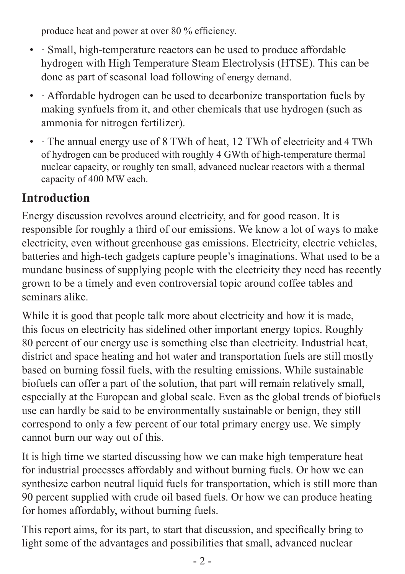produce heat and power at over 80 % efficiency.

- · Small, high-temperature reactors can be used to produce affordable hydrogen with High Temperature Steam Electrolysis (HTSE). This can be done as part of seasonal load following of energy demand.
- Affordable hydrogen can be used to decarbonize transportation fuels by making synfuels from it, and other chemicals that use hydrogen (such as ammonia for nitrogen fertilizer).
- The annual energy use of 8 TWh of heat, 12 TWh of electricity and 4 TWh of hydrogen can be produced with roughly 4 GWth of high-temperature thermal nuclear capacity, or roughly ten small, advanced nuclear reactors with a thermal capacity of 400 MW each.

#### **Introduction**

Energy discussion revolves around electricity, and for good reason. It is responsible for roughly a third of our emissions. We know a lot of ways to make electricity, even without greenhouse gas emissions. Electricity, electric vehicles, batteries and high-tech gadgets capture people's imaginations. What used to be a mundane business of supplying people with the electricity they need has recently grown to be a timely and even controversial topic around coffee tables and seminars alike.

While it is good that people talk more about electricity and how it is made, this focus on electricity has sidelined other important energy topics. Roughly 80 percent of our energy use is something else than electricity. Industrial heat, district and space heating and hot water and transportation fuels are still mostly based on burning fossil fuels, with the resulting emissions. While sustainable biofuels can offer a part of the solution, that part will remain relatively small, especially at the European and global scale. Even as the global trends of biofuels use can hardly be said to be environmentally sustainable or benign, they still correspond to only a few percent of our total primary energy use. We simply cannot burn our way out of this.

It is high time we started discussing how we can make high temperature heat for industrial processes affordably and without burning fuels. Or how we can synthesize carbon neutral liquid fuels for transportation, which is still more than 90 percent supplied with crude oil based fuels. Or how we can produce heating for homes affordably, without burning fuels.

This report aims, for its part, to start that discussion, and specifically bring to light some of the advantages and possibilities that small, advanced nuclear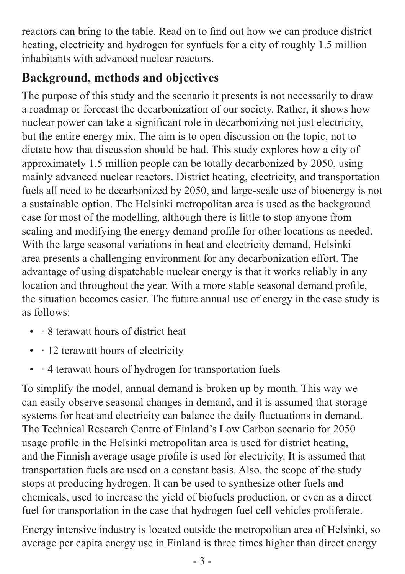reactors can bring to the table. Read on to find out how we can produce district heating, electricity and hydrogen for synfuels for a city of roughly 1.5 million inhabitants with advanced nuclear reactors.

#### **Background, methods and objectives**

The purpose of this study and the scenario it presents is not necessarily to draw a roadmap or forecast the decarbonization of our society. Rather, it shows how nuclear power can take a significant role in decarbonizing not just electricity, but the entire energy mix. The aim is to open discussion on the topic, not to dictate how that discussion should be had. This study explores how a city of approximately 1.5 million people can be totally decarbonized by 2050, using mainly advanced nuclear reactors. District heating, electricity, and transportation fuels all need to be decarbonized by 2050, and large-scale use of bioenergy is not a sustainable option. The Helsinki metropolitan area is used as the background case for most of the modelling, although there is little to stop anyone from scaling and modifying the energy demand profile for other locations as needed. With the large seasonal variations in heat and electricity demand, Helsinki area presents a challenging environment for any decarbonization effort. The advantage of using dispatchable nuclear energy is that it works reliably in any location and throughout the year. With a more stable seasonal demand profile, the situation becomes easier. The future annual use of energy in the case study is as follows:

- · 8 terawatt hours of district heat
- · 12 terawatt hours of electricity
- · 4 terawatt hours of hydrogen for transportation fuels

To simplify the model, annual demand is broken up by month. This way we can easily observe seasonal changes in demand, and it is assumed that storage systems for heat and electricity can balance the daily fluctuations in demand. The Technical Research Centre of Finland's Low Carbon scenario for 2050 usage profile in the Helsinki metropolitan area is used for district heating, and the Finnish average usage profile is used for electricity. It is assumed that transportation fuels are used on a constant basis. Also, the scope of the study stops at producing hydrogen. It can be used to synthesize other fuels and chemicals, used to increase the yield of biofuels production, or even as a direct fuel for transportation in the case that hydrogen fuel cell vehicles proliferate.

Energy intensive industry is located outside the metropolitan area of Helsinki, so average per capita energy use in Finland is three times higher than direct energy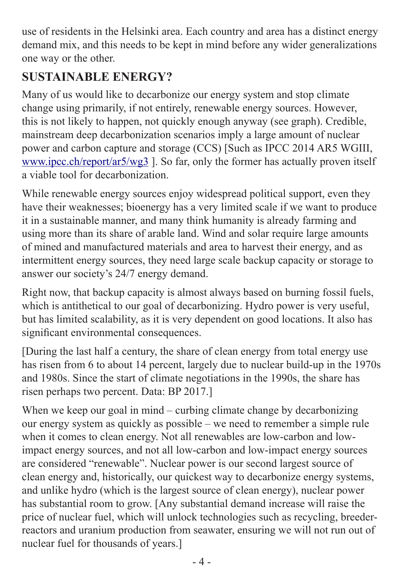use of residents in the Helsinki area. Each country and area has a distinct energy demand mix, and this needs to be kept in mind before any wider generalizations one way or the other.

#### **SUSTAINABLE ENERGY?**

Many of us would like to decarbonize our energy system and stop climate change using primarily, if not entirely, renewable energy sources. However, this is not likely to happen, not quickly enough anyway (see graph). Credible, mainstream deep decarbonization scenarios imply a large amount of nuclear power and carbon capture and storage (CCS) [Such as IPCC 2014 AR5 WGIII, [www.ipcc.ch/report/ar5/wg3](http://www.ipcc.ch/report/ar5/wg3) ]. So far, only the former has actually proven itself a viable tool for decarbonization.

While renewable energy sources enjoy widespread political support, even they have their weaknesses; bioenergy has a very limited scale if we want to produce it in a sustainable manner, and many think humanity is already farming and using more than its share of arable land. Wind and solar require large amounts of mined and manufactured materials and area to harvest their energy, and as intermittent energy sources, they need large scale backup capacity or storage to answer our society's 24/7 energy demand.

Right now, that backup capacity is almost always based on burning fossil fuels, which is antithetical to our goal of decarbonizing. Hydro power is very useful, but has limited scalability, as it is very dependent on good locations. It also has significant environmental consequences.

[During the last half a century, the share of clean energy from total energy use has risen from 6 to about 14 percent, largely due to nuclear build-up in the 1970s and 1980s. Since the start of climate negotiations in the 1990s, the share has risen perhaps two percent. Data: BP 2017.]

When we keep our goal in mind – curbing climate change by decarbonizing our energy system as quickly as possible – we need to remember a simple rule when it comes to clean energy. Not all renewables are low-carbon and lowimpact energy sources, and not all low-carbon and low-impact energy sources are considered "renewable". Nuclear power is our second largest source of clean energy and, historically, our quickest way to decarbonize energy systems, and unlike hydro (which is the largest source of clean energy), nuclear power has substantial room to grow. [Any substantial demand increase will raise the price of nuclear fuel, which will unlock technologies such as recycling, breederreactors and uranium production from seawater, ensuring we will not run out of nuclear fuel for thousands of years.]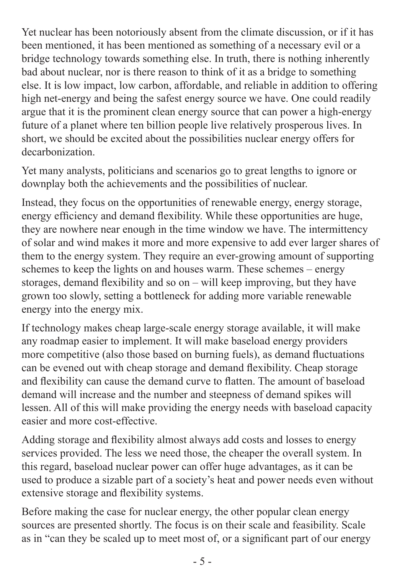Yet nuclear has been notoriously absent from the climate discussion, or if it has been mentioned, it has been mentioned as something of a necessary evil or a bridge technology towards something else. In truth, there is nothing inherently bad about nuclear, nor is there reason to think of it as a bridge to something else. It is low impact, low carbon, affordable, and reliable in addition to offering high net-energy and being the safest energy source we have. One could readily argue that it is the prominent clean energy source that can power a high-energy future of a planet where ten billion people live relatively prosperous lives. In short, we should be excited about the possibilities nuclear energy offers for decarbonization.

Yet many analysts, politicians and scenarios go to great lengths to ignore or downplay both the achievements and the possibilities of nuclear.

Instead, they focus on the opportunities of renewable energy, energy storage, energy efficiency and demand flexibility. While these opportunities are huge, they are nowhere near enough in the time window we have. The intermittency of solar and wind makes it more and more expensive to add ever larger shares of them to the energy system. They require an ever-growing amount of supporting schemes to keep the lights on and houses warm. These schemes – energy storages, demand flexibility and so on – will keep improving, but they have grown too slowly, setting a bottleneck for adding more variable renewable energy into the energy mix.

If technology makes cheap large-scale energy storage available, it will make any roadmap easier to implement. It will make baseload energy providers more competitive (also those based on burning fuels), as demand fluctuations can be evened out with cheap storage and demand flexibility. Cheap storage and flexibility can cause the demand curve to flatten. The amount of baseload demand will increase and the number and steepness of demand spikes will lessen. All of this will make providing the energy needs with baseload capacity easier and more cost-effective.

Adding storage and flexibility almost always add costs and losses to energy services provided. The less we need those, the cheaper the overall system. In this regard, baseload nuclear power can offer huge advantages, as it can be used to produce a sizable part of a society's heat and power needs even without extensive storage and flexibility systems.

Before making the case for nuclear energy, the other popular clean energy sources are presented shortly. The focus is on their scale and feasibility. Scale as in "can they be scaled up to meet most of, or a significant part of our energy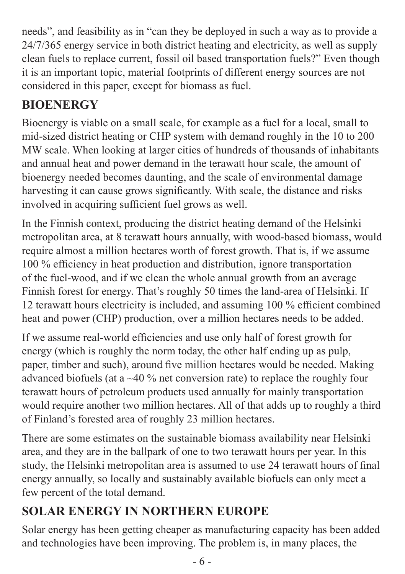needs", and feasibility as in "can they be deployed in such a way as to provide a 24/7/365 energy service in both district heating and electricity, as well as supply clean fuels to replace current, fossil oil based transportation fuels?" Even though it is an important topic, material footprints of different energy sources are not considered in this paper, except for biomass as fuel.

## **BIOENERGY**

Bioenergy is viable on a small scale, for example as a fuel for a local, small to mid-sized district heating or CHP system with demand roughly in the 10 to 200 MW scale. When looking at larger cities of hundreds of thousands of inhabitants and annual heat and power demand in the terawatt hour scale, the amount of bioenergy needed becomes daunting, and the scale of environmental damage harvesting it can cause grows significantly. With scale, the distance and risks involved in acquiring sufficient fuel grows as well.

In the Finnish context, producing the district heating demand of the Helsinki metropolitan area, at 8 terawatt hours annually, with wood-based biomass, would require almost a million hectares worth of forest growth. That is, if we assume 100 % efficiency in heat production and distribution, ignore transportation of the fuel-wood, and if we clean the whole annual growth from an average Finnish forest for energy. That's roughly 50 times the land-area of Helsinki. If 12 terawatt hours electricity is included, and assuming 100 % efficient combined heat and power (CHP) production, over a million hectares needs to be added.

If we assume real-world efficiencies and use only half of forest growth for energy (which is roughly the norm today, the other half ending up as pulp, paper, timber and such), around five million hectares would be needed. Making advanced biofuels (at a ~40 % net conversion rate) to replace the roughly four terawatt hours of petroleum products used annually for mainly transportation would require another two million hectares. All of that adds up to roughly a third of Finland's forested area of roughly 23 million hectares.

There are some estimates on the sustainable biomass availability near Helsinki area, and they are in the ballpark of one to two terawatt hours per year. In this study, the Helsinki metropolitan area is assumed to use 24 terawatt hours of final energy annually, so locally and sustainably available biofuels can only meet a few percent of the total demand.

## **SOLAR ENERGY IN NORTHERN EUROPE**

Solar energy has been getting cheaper as manufacturing capacity has been added and technologies have been improving. The problem is, in many places, the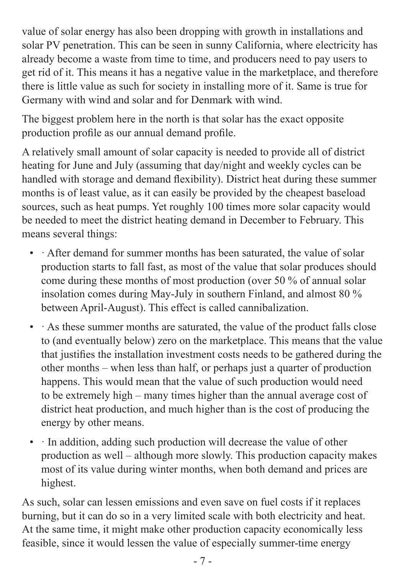value of solar energy has also been dropping with growth in installations and solar PV penetration. This can be seen in sunny California, where electricity has already become a waste from time to time, and producers need to pay users to get rid of it. This means it has a negative value in the marketplace, and therefore there is little value as such for society in installing more of it. Same is true for Germany with wind and solar and for Denmark with wind.

The biggest problem here in the north is that solar has the exact opposite production profile as our annual demand profile.

A relatively small amount of solar capacity is needed to provide all of district heating for June and July (assuming that day/night and weekly cycles can be handled with storage and demand flexibility). District heat during these summer months is of least value, as it can easily be provided by the cheapest baseload sources, such as heat pumps. Yet roughly 100 times more solar capacity would be needed to meet the district heating demand in December to February. This means several things:

- After demand for summer months has been saturated, the value of solar production starts to fall fast, as most of the value that solar produces should come during these months of most production (over 50 % of annual solar insolation comes during May-July in southern Finland, and almost 80 % between April-August). This effect is called cannibalization.
- As these summer months are saturated, the value of the product falls close to (and eventually below) zero on the marketplace. This means that the value that justifies the installation investment costs needs to be gathered during the other months – when less than half, or perhaps just a quarter of production happens. This would mean that the value of such production would need to be extremely high – many times higher than the annual average cost of district heat production, and much higher than is the cost of producing the energy by other means.
- In addition, adding such production will decrease the value of other production as well – although more slowly. This production capacity makes most of its value during winter months, when both demand and prices are highest.

As such, solar can lessen emissions and even save on fuel costs if it replaces burning, but it can do so in a very limited scale with both electricity and heat. At the same time, it might make other production capacity economically less feasible, since it would lessen the value of especially summer-time energy